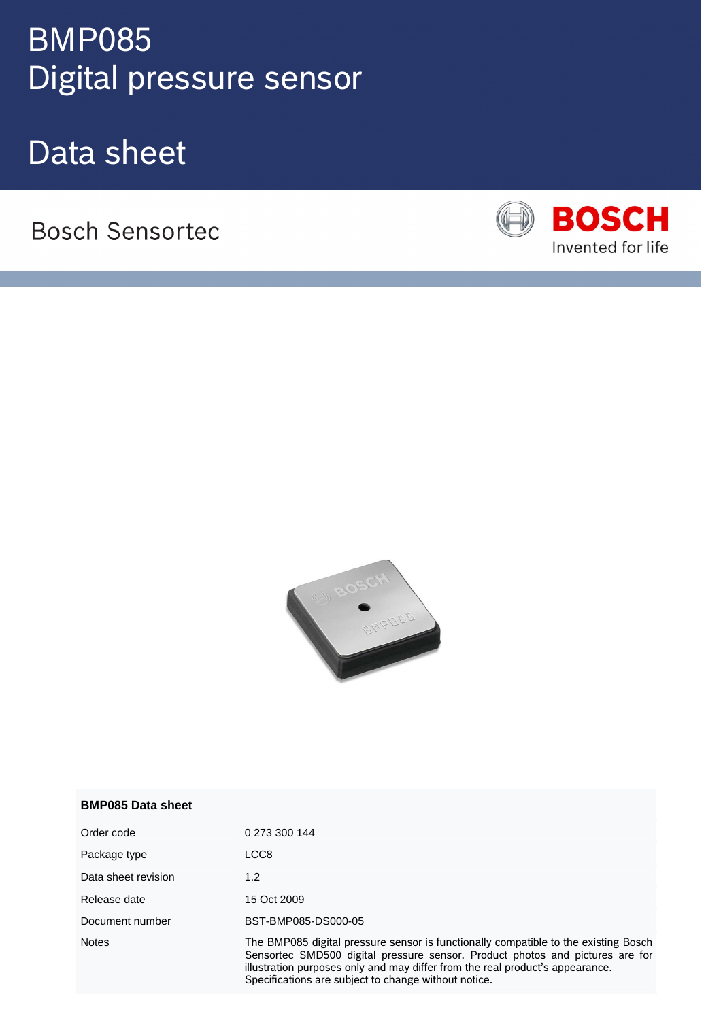# Digital pressure sensortection of the Digital pressure sensor BMP085

Data sheet

**Bosch Sensortec** 





| <b>BMP085 Data sheet</b> |  |
|--------------------------|--|
|                          |  |

| Order code          | 0 273 300 144                                                                                                                                                                                                                                                                                                 |
|---------------------|---------------------------------------------------------------------------------------------------------------------------------------------------------------------------------------------------------------------------------------------------------------------------------------------------------------|
| Package type        | LCC8                                                                                                                                                                                                                                                                                                          |
| Data sheet revision | 1.2                                                                                                                                                                                                                                                                                                           |
| Release date        | 15 Oct 2009                                                                                                                                                                                                                                                                                                   |
| Document number     | BST-BMP085-DS000-05                                                                                                                                                                                                                                                                                           |
| <b>Notes</b>        | The BMP085 digital pressure sensor is functionally compatible to the existing Bosch<br>Sensortec SMD500 digital pressure sensor. Product photos and pictures are for<br>illustration purposes only and may differ from the real product's appearance.<br>Specifications are subject to change without notice. |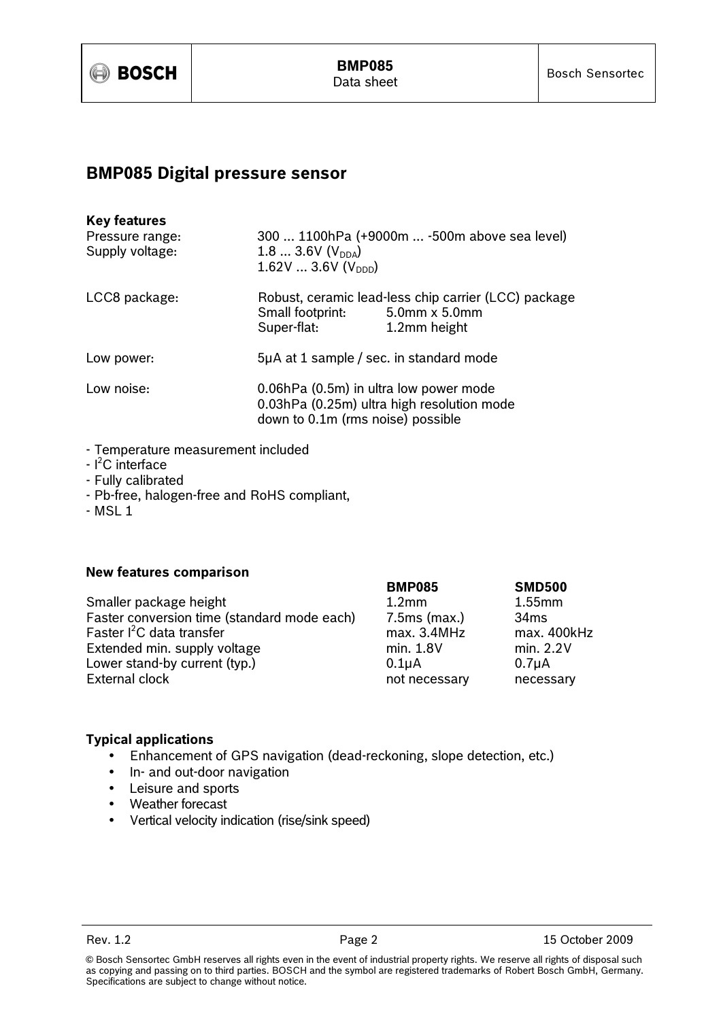

## BMP085 Digital pressure sensor

| <b>Key features</b><br>Pressure range:<br>Supply voltage: | 300  1100hPa (+9000m  -500m above sea level)<br>1.8  3.6V $(V_{DDA})$<br>1.62V  3.6V ( $V_{\text{DDD}}$ )                 |                                                                      |  |
|-----------------------------------------------------------|---------------------------------------------------------------------------------------------------------------------------|----------------------------------------------------------------------|--|
| LCC8 package:                                             | Small footprint: 5.0mm x 5.0mm<br>Super-flat:                                                                             | Robust, ceramic lead-less chip carrier (LCC) package<br>1.2mm height |  |
| Low power:                                                | 5µA at 1 sample / sec. in standard mode                                                                                   |                                                                      |  |
| Low noise:                                                | 0.06hPa (0.5m) in ultra low power mode<br>0.03hPa (0.25m) ultra high resolution mode<br>down to 0.1m (rms noise) possible |                                                                      |  |

- Temperature measurement included
- $-l^2C$  interface
- Fully calibrated
- Pb-free, halogen-free and RoHS compliant,
- MSL 1

## New features comparison

| Smaller package height                      | 1.2 <sub>mm</sub>  | $1.55$ mm          |
|---------------------------------------------|--------------------|--------------------|
| Faster conversion time (standard mode each) | $7.5ms$ (max.)     | 34ms               |
| Faster <sup>2</sup> C data transfer         | max. 3.4MHz        | max. 400kHz        |
| Extended min. supply voltage                | min. 1.8V          | min. 2.2V          |
| Lower stand-by current (typ.)               | 0.1 <sub>U</sub> A | 0.7 <sub>µ</sub> A |
| External clock                              | not necessary      | necessary          |

| <b>BMP085</b>      | <b>SMD500</b>      |
|--------------------|--------------------|
| 1.2 <sub>mm</sub>  | $1.55$ mm          |
| $7.5ms$ (max.)     | 34ms               |
| max. 3.4MHz        | max. 400kHz        |
| min. 1.8V          | min. 2.2V          |
| 0.1 <sub>µ</sub> A | 0.7 <sub>µ</sub> A |
| not necessary      | necessary          |
|                    |                    |

## Typical applications

- Enhancement of GPS navigation (dead-reckoning, slope detection, etc.)
- In- and out-door navigation
- Leisure and sports
- Weather forecast
- Vertical velocity indication (rise/sink speed)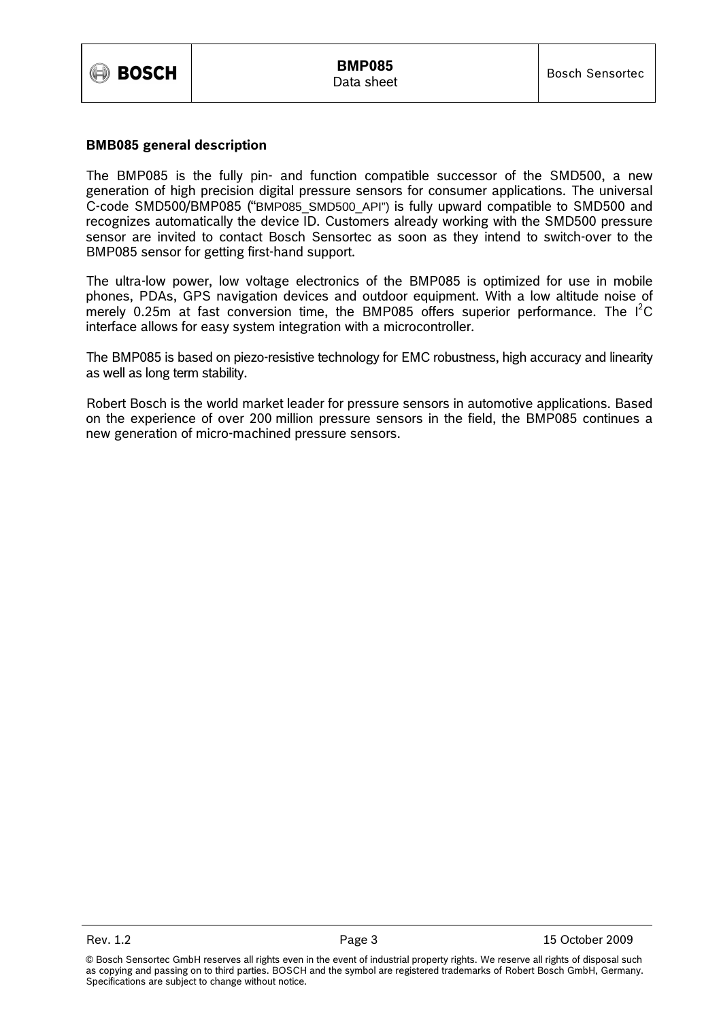

## BMB085 general description

The BMP085 is the fully pin- and function compatible successor of the SMD500, a new generation of high precision digital pressure sensors for consumer applications. The universal C-code SMD500/BMP085 ("BMP085\_SMD500\_API") is fully upward compatible to SMD500 and recognizes automatically the device ID. Customers already working with the SMD500 pressure sensor are invited to contact Bosch Sensortec as soon as they intend to switch-over to the BMP085 sensor for getting first-hand support.

The ultra-low power, low voltage electronics of the BMP085 is optimized for use in mobile phones, PDAs, GPS navigation devices and outdoor equipment. With a low altitude noise of merely 0.25m at fast conversion time, the BMP085 offers superior performance. The  $1^2C$ interface allows for easy system integration with a microcontroller.

The BMP085 is based on piezo-resistive technology for EMC robustness, high accuracy and linearity as well as long term stability.

Robert Bosch is the world market leader for pressure sensors in automotive applications. Based on the experience of over 200 million pressure sensors in the field, the BMP085 continues a new generation of micro-machined pressure sensors.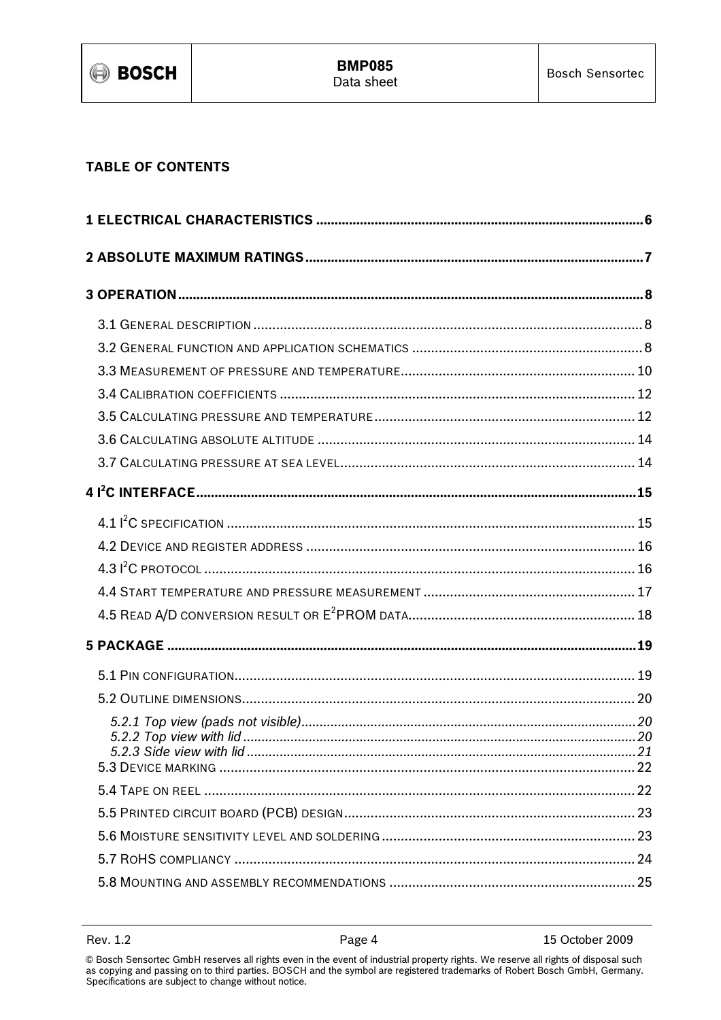

## **TABLE OF CONTENTS**

15 October 2009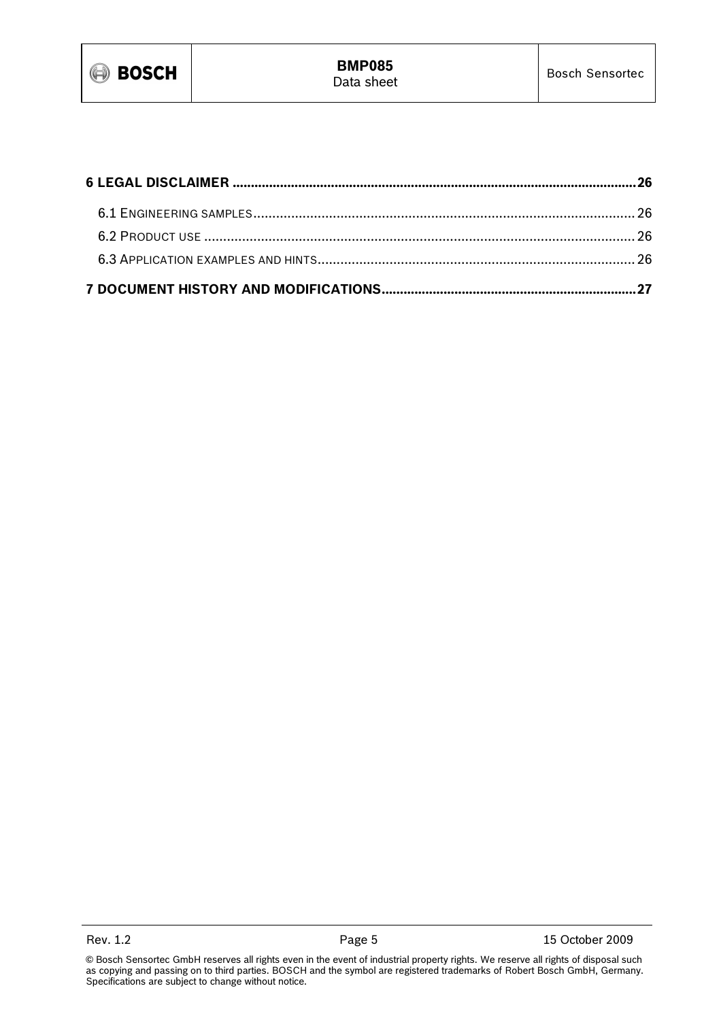

<sup>©</sup> Bosch Sensortec GmbH reserves all rights even in the event of industrial property rights. We reserve all rights of disposal such as copying and passing on to third parties. BOSCH and the symbol are registered trademarks of Robert Bosch GmbH, Germany. Specifications are subject to change without notice.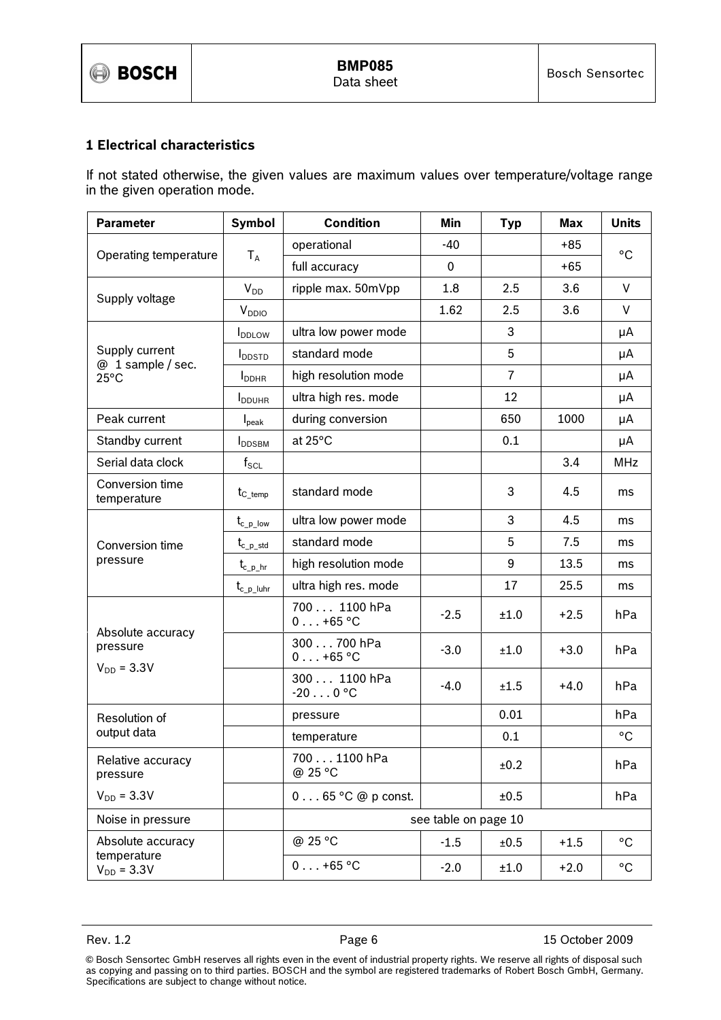## 1 Electrical characteristics

If not stated otherwise, the given values are maximum values over temperature/voltage range in the given operation mode.

| <b>Parameter</b>                    | Symbol                    | <b>Condition</b><br>Min           |        | <b>Typ</b>     | <b>Max</b> | <b>Units</b> |
|-------------------------------------|---------------------------|-----------------------------------|--------|----------------|------------|--------------|
|                                     |                           | operational                       | $-40$  |                | $+85$      | $^{\circ}$ C |
| Operating temperature               | $T_A$                     | full accuracy                     | 0      |                | $+65$      |              |
|                                     | $V_{DD}$                  | ripple max. 50mVpp                | 1.8    | 2.5            | 3.6        | V            |
| Supply voltage                      | <b>V</b> <sub>DDIO</sub>  |                                   | 1.62   | 2.5            | 3.6        | V            |
|                                     | <b>I</b> <sub>DDLOW</sub> | ultra low power mode              |        | 3              |            | μA           |
| Supply current<br>@ 1 sample / sec. | <b>I</b> <sub>DDSTD</sub> | standard mode                     |        | 5              |            | μA           |
| $25^{\circ}$ C                      | $I_{\text{DDHR}}$         | high resolution mode              |        | $\overline{7}$ |            | μA           |
|                                     | <b>I</b> <sub>DDUHR</sub> | ultra high res. mode              |        | 12             |            | μA           |
| Peak current                        | $I_{\text{peak}}$         | during conversion                 |        | 650            | 1000       | μA           |
| Standby current                     | <b>I</b> DDSBM            | at 25°C                           |        | 0.1            |            | μA           |
| Serial data clock                   | $f_{\rm SCL}$             |                                   |        |                | 3.4        | <b>MHz</b>   |
| Conversion time<br>temperature      | $t_{C_{temp}}$            | standard mode                     |        | 3              | 4.5        | ms           |
|                                     | $t_{c_plow}$              | ultra low power mode              |        | 3              | 4.5        | ms           |
| Conversion time                     | $t_{c\_p\_std}$           | standard mode                     |        | 5              | 7.5        | ms           |
| pressure                            | $t_{c\_p\_hr}$            | high resolution mode              |        | 9              | 13.5       | ms           |
|                                     | $t_{c_p\_luhr}$           | ultra high res. mode              |        | 17             | 25.5       | ms           |
|                                     |                           | 700 1100 hPa<br>$0 \ldots +65$ °C | $-2.5$ | ±1.0           | $+2.5$     | hPa          |
| Absolute accuracy<br>pressure       |                           | 300 700 hPa<br>$0 \ldots +65$ °C  | $-3.0$ | ±1.0           | $+3.0$     | hPa          |
| $V_{DD} = 3.3V$                     |                           | 300 1100 hPa<br>$-200$ °C         | $-4.0$ | ±1.5           | $+4.0$     | hPa          |
| Resolution of                       |                           | pressure                          |        | 0.01           |            | hPa          |
| output data                         |                           | temperature                       |        | 0.1            |            | $^{\circ}$ C |
| Relative accuracy<br>pressure       |                           | 700 1100 hPa<br>@ 25 °C           |        | ±0.2           |            | hPa          |
| $V_{DD} = 3.3V$                     |                           | $0 \ldots 65$ °C @ p const.       |        | ±0.5           |            | hPa          |
| Noise in pressure                   |                           | see table on page 10              |        |                |            |              |
| Absolute accuracy                   |                           | @ 25 °C                           | $-1.5$ | ±0.5           | $+1.5$     | $^{\circ}$ C |
| temperature<br>$V_{DD} = 3.3V$      |                           | $0 \ldots +65$ °C                 | $-2.0$ | ±1.0           | $+2.0$     | $^{\circ}$ C |

Rev. 1.2 **Page 6** 2009 **Page 6** 25 October 2009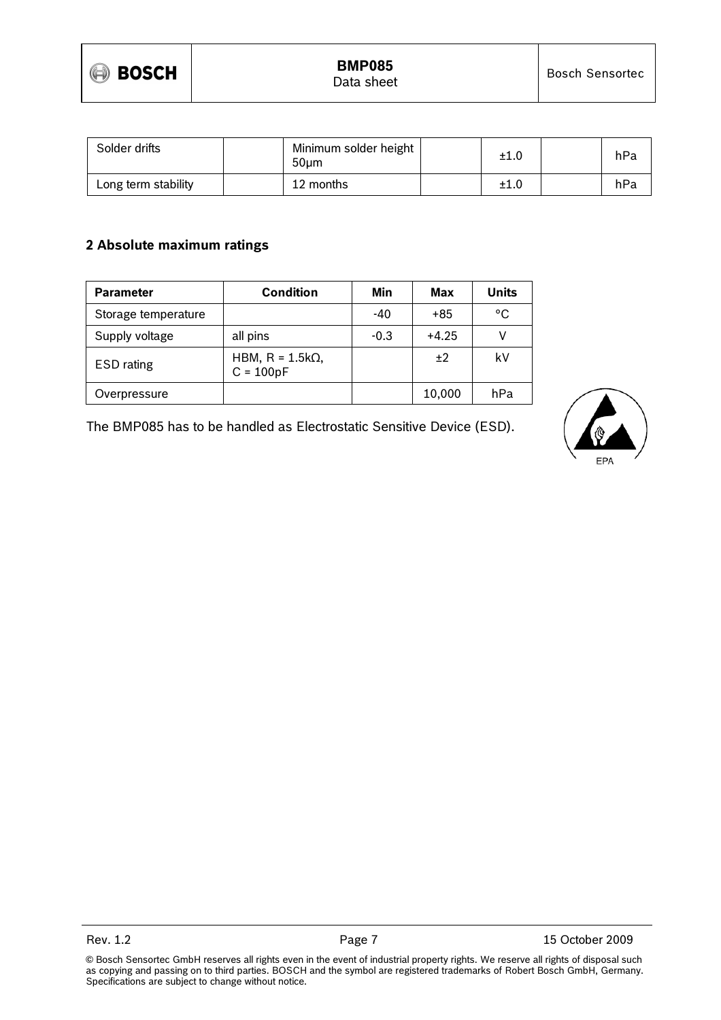

| Solder drifts       | Minimum solder height<br>50um | ±1.0 | hPa |
|---------------------|-------------------------------|------|-----|
| Long term stability | 12 months                     | ±1.0 | hPa |

## 2 Absolute maximum ratings

| <b>Parameter</b>    | <b>Condition</b>                       | Min    | Max     | <b>Units</b> |
|---------------------|----------------------------------------|--------|---------|--------------|
| Storage temperature |                                        | -40    | +85     | °C           |
| Supply voltage      | all pins                               | $-0.3$ | $+4.25$ |              |
| <b>ESD</b> rating   | HBM, $R = 1.5k\Omega$ ,<br>$C = 100pF$ |        | ±2      | k٧           |
| Overpressure        |                                        |        | 10,000  | hPa          |

The BMP085 has to be handled as Electrostatic Sensitive Device (ESD).

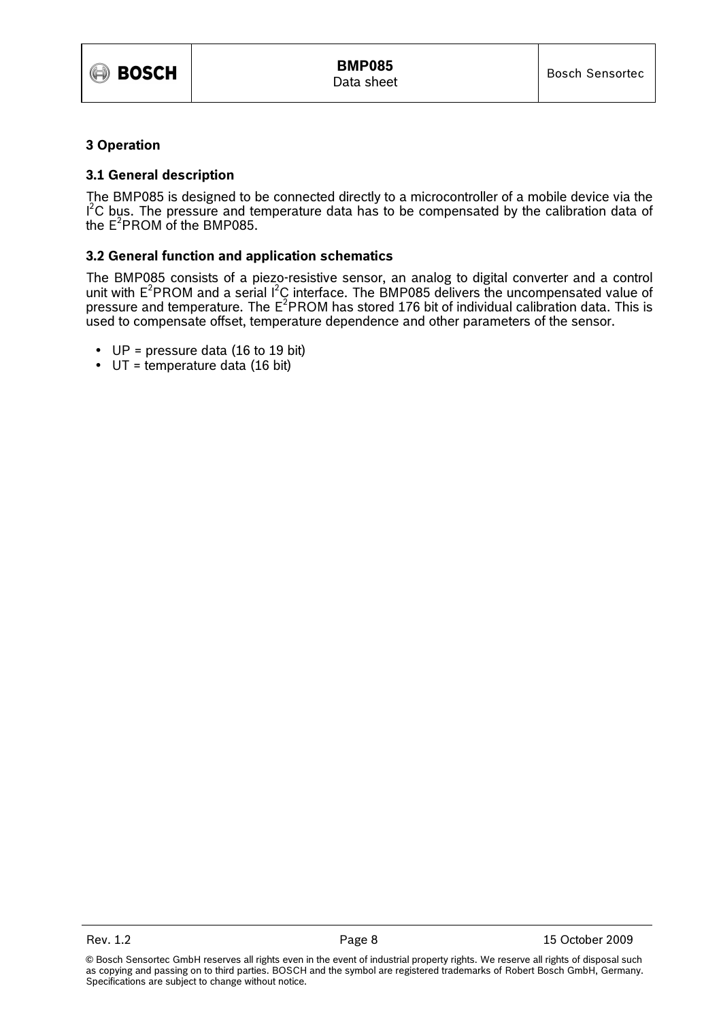

## 3 Operation

## 3.1 General description

The BMP085 is designed to be connected directly to a microcontroller of a mobile device via the  $I<sup>2</sup>C$  bus. The pressure and temperature data has to be compensated by the calibration data of the  $E^2$ PROM of the BMP085.

## 3.2 General function and application schematics

The BMP085 consists of a piezo-resistive sensor, an analog to digital converter and a control unit with  $E^2$ PROM and a serial  $I^2C$  interface. The BMP085 delivers the uncompensated value of pressure and temperature. The  $E^2$ PROM has stored 176 bit of individual calibration data. This is used to compensate offset, temperature dependence and other parameters of the sensor.

- $UP = pressure$  data (16 to 19 bit)
- $\bullet$  UT = temperature data (16 bit)

<sup>©</sup> Bosch Sensortec GmbH reserves all rights even in the event of industrial property rights. We reserve all rights of disposal such as copying and passing on to third parties. BOSCH and the symbol are registered trademarks of Robert Bosch GmbH, Germany. Specifications are subject to change without notice.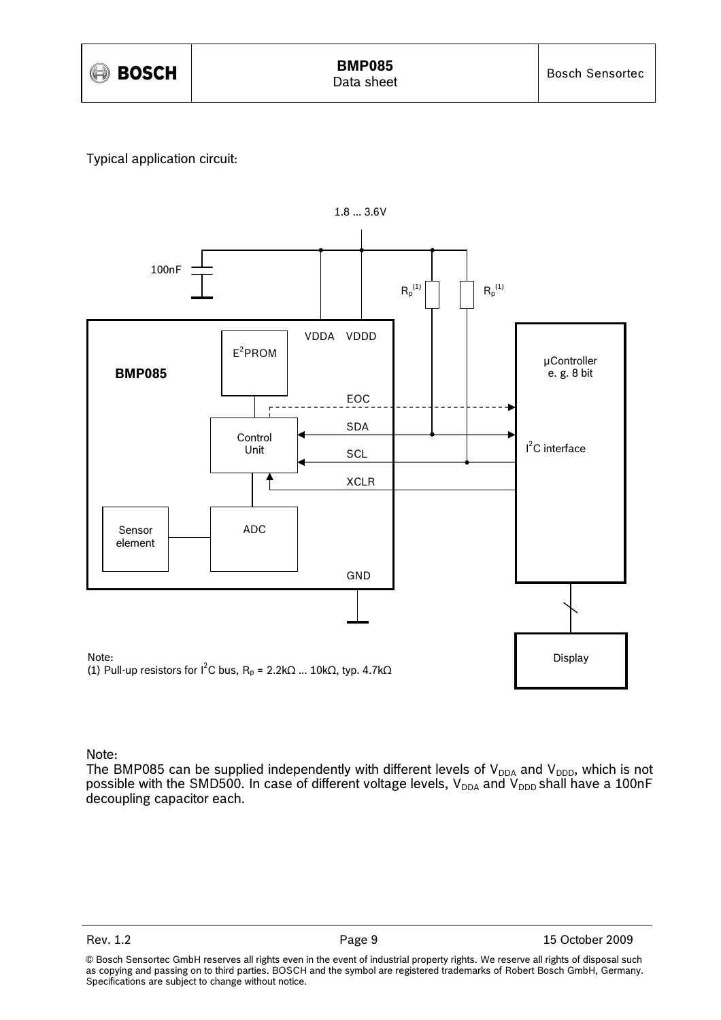

## Typical application circuit:



## Note:

The BMP085 can be supplied independently with different levels of  $V_{DDA}$  and  $V_{DDD}$ , which is not possible with the SMD500. In case of different voltage levels,  $\rm V_{DDA}$  and  $\rm V_{DDD}$  shall have a 100nF decoupling capacitor each.

<sup>©</sup> Bosch Sensortec GmbH reserves all rights even in the event of industrial property rights. We reserve all rights of disposal such as copying and passing on to third parties. BOSCH and the symbol are registered trademarks of Robert Bosch GmbH, Germany. Specifications are subject to change without notice.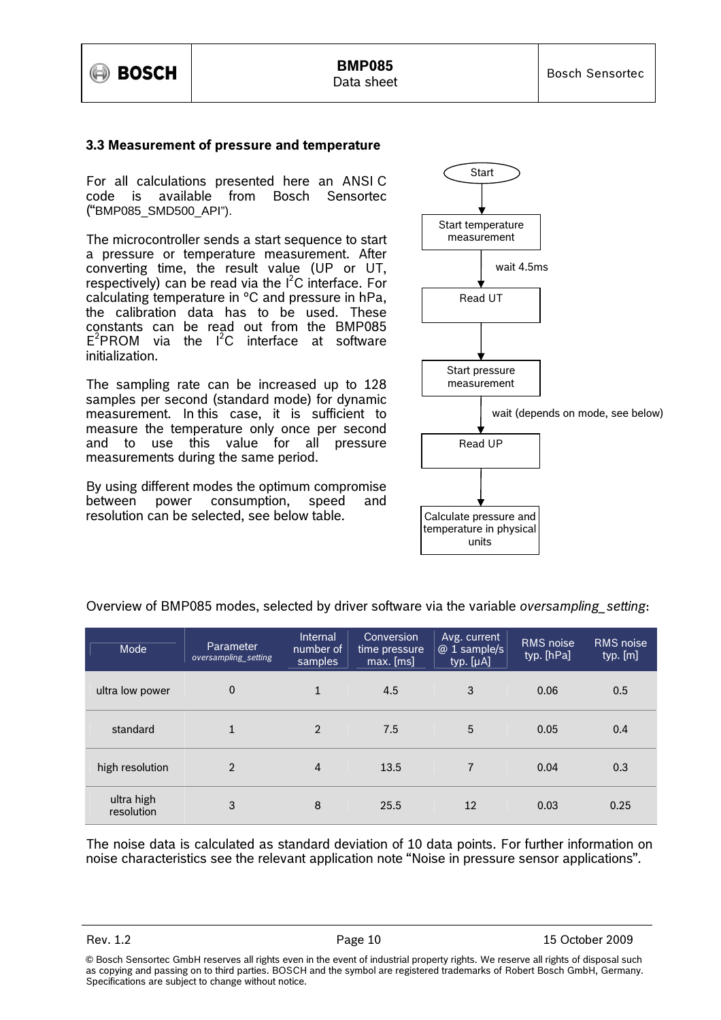

#### 3.3 Measurement of pressure and temperature

For all calculations presented here an ANSI C code is available from Bosch Sensortec ("BMP085\_SMD500\_API").

The microcontroller sends a start sequence to start a pressure or temperature measurement. After converting time, the result value (UP or UT, respectively) can be read via the  $I^2C$  interface. For calculating temperature in °C and pressure in hPa, the calibration data has to be used. These constants can be read out from the BMP085  $E^2$ PROM via the  $I^2C$  interface at software initialization.

The sampling rate can be increased up to 128 samples per second (standard mode) for dynamic measurement. In this case, it is sufficient to measure the temperature only once per second and to use this value for all pressure measurements during the same period.

By using different modes the optimum compromise between power consumption, speed and resolution can be selected, see below table.



| Mode                     | Parameter<br>oversampling setting | Internal<br>number of<br>samples | Conversion<br>time pressure<br>$max.$ [ms] | Avg. current<br>@ 1 sample/s<br>typ. [µA] | <b>RMS</b> noise<br>typ. [hPa] | <b>RMS</b> noise<br>typ. [m] |
|--------------------------|-----------------------------------|----------------------------------|--------------------------------------------|-------------------------------------------|--------------------------------|------------------------------|
| ultra low power          | 0                                 | $\mathbf{1}$                     | 4.5                                        | 3                                         | 0.06                           | 0.5                          |
| standard                 | 1                                 | $\overline{2}$                   | 7.5                                        | 5                                         | 0.05                           | 0.4                          |
| high resolution          | $\overline{2}$                    | 4                                | 13.5                                       | $\overline{7}$                            | 0.04                           | 0.3                          |
| ultra high<br>resolution | 3                                 | 8                                | 25.5                                       | 12                                        | 0.03                           | 0.25                         |

Overview of BMP085 modes, selected by driver software via the variable oversampling setting:

The noise data is calculated as standard deviation of 10 data points. For further information on noise characteristics see the relevant application note "Noise in pressure sensor applications".

<sup>©</sup> Bosch Sensortec GmbH reserves all rights even in the event of industrial property rights. We reserve all rights of disposal such as copying and passing on to third parties. BOSCH and the symbol are registered trademarks of Robert Bosch GmbH, Germany. Specifications are subject to change without notice.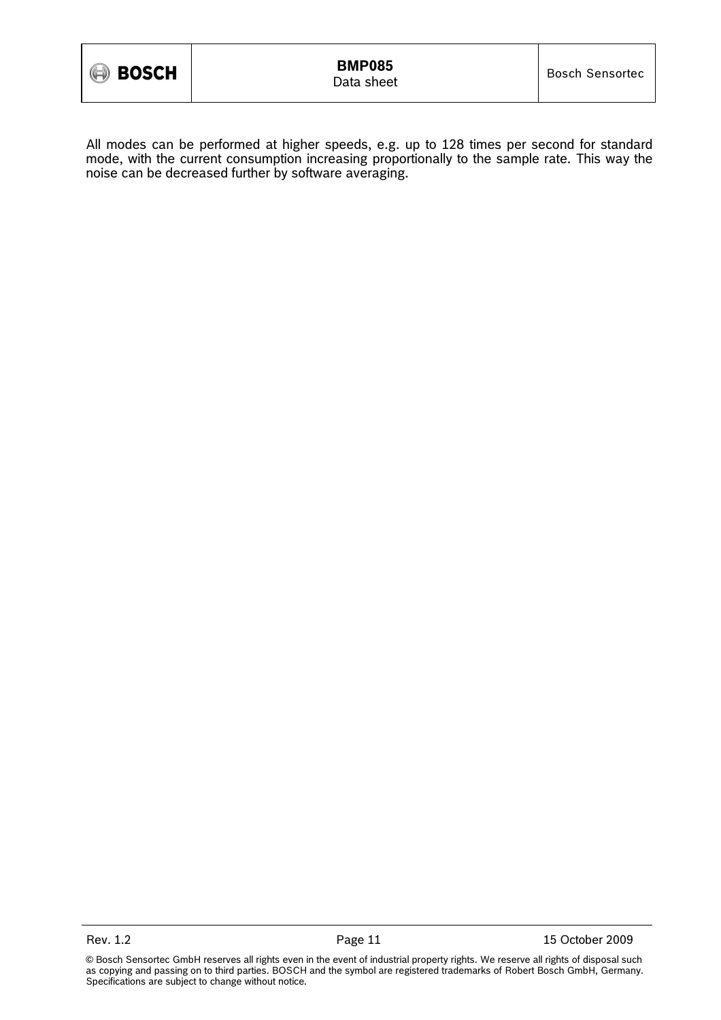All modes can be performed at higher speeds, e.g. up to 128 times per second for standard mode, with the current consumption increasing proportionally to the sample rate. This way the noise can be decreased further by software averaging.

Rev. 1.2 **Page 11** Page 11 **15 October 2009**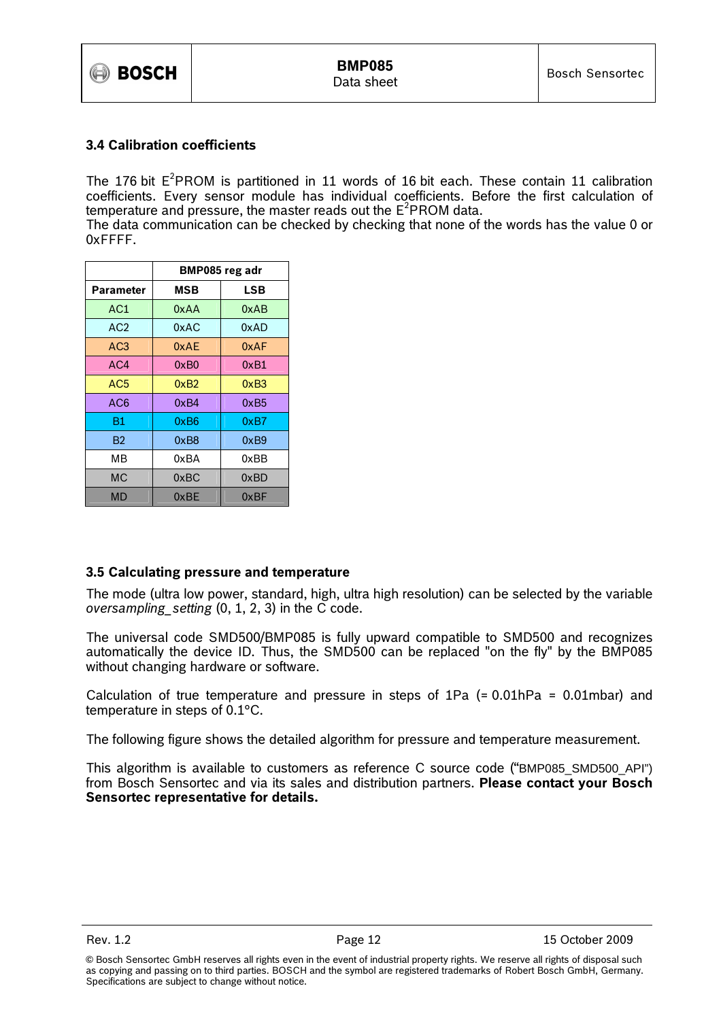

## 3.4 Calibration coefficients

The 176 bit  $E^2$ PROM is partitioned in 11 words of 16 bit each. These contain 11 calibration coefficients. Every sensor module has individual coefficients. Before the first calculation of temperature and pressure, the master reads out the  $E^2$ PROM data.

The data communication can be checked by checking that none of the words has the value 0 or 0xFFFF.

|                 | BMP085 reg adr |      |  |  |
|-----------------|----------------|------|--|--|
| Parameter       | <b>MSB</b>     | LSB  |  |  |
| AC1             | 0xAA           | 0xAB |  |  |
| AC2             | 0xAC           | 0xAD |  |  |
| AC <sub>3</sub> | 0xAF           | 0xAF |  |  |
| AC4             | 0xB0           | 0xB1 |  |  |
| AC <sub>5</sub> | 0xB2           | 0xB3 |  |  |
| AC6             | 0xB4           | 0xB5 |  |  |
| Β1              | 0xB6           | 0xB7 |  |  |
| B2              | 0xB8           | 0xB9 |  |  |
| MВ              | 0xBA           | 0xBB |  |  |
| <b>MC</b>       | 0xBC           | 0xBD |  |  |
| MD              | 0xBE           | 0xBF |  |  |

## 3.5 Calculating pressure and temperature

The mode (ultra low power, standard, high, ultra high resolution) can be selected by the variable oversampling setting  $(0, 1, 2, 3)$  in the C code.

The universal code SMD500/BMP085 is fully upward compatible to SMD500 and recognizes automatically the device ID. Thus, the SMD500 can be replaced "on the fly" by the BMP085 without changing hardware or software.

Calculation of true temperature and pressure in steps of 1Pa (= 0.01hPa = 0.01mbar) and temperature in steps of 0.1°C.

The following figure shows the detailed algorithm for pressure and temperature measurement.

This algorithm is available to customers as reference C source code ("BMP085\_SMD500\_API") from Bosch Sensortec and via its sales and distribution partners. Please contact your Bosch Sensortec representative for details.

<sup>©</sup> Bosch Sensortec GmbH reserves all rights even in the event of industrial property rights. We reserve all rights of disposal such as copying and passing on to third parties. BOSCH and the symbol are registered trademarks of Robert Bosch GmbH, Germany. Specifications are subject to change without notice.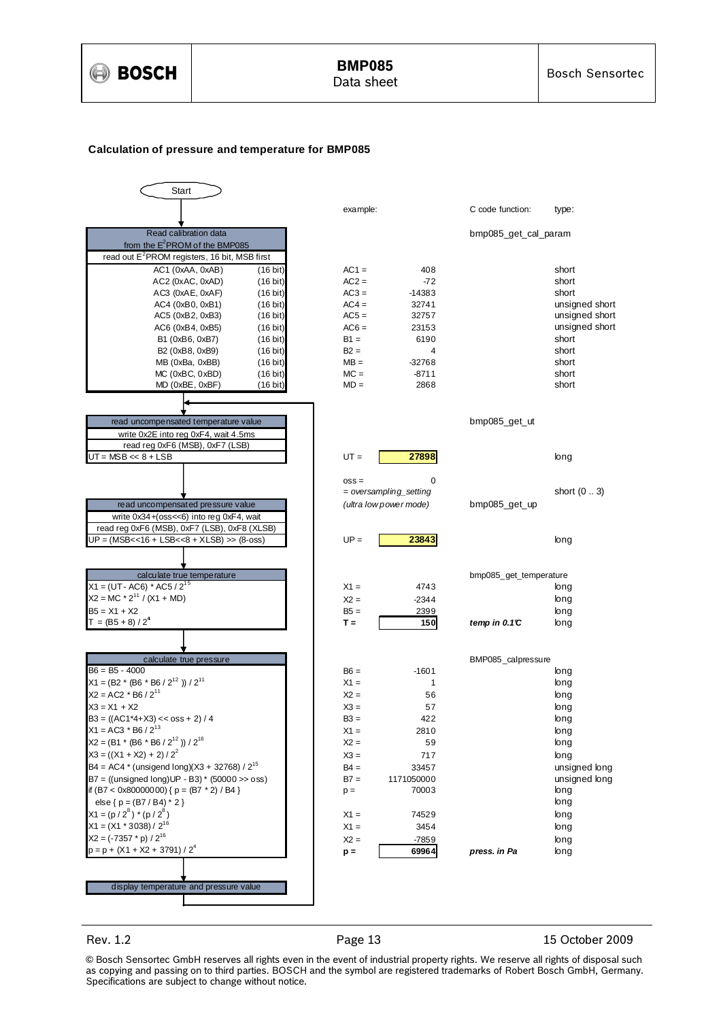

## BMP085

#### **Calculation of pressure and temperature for BMP085**



Rev. 1.2 **Page 13** Page 13 15 October 2009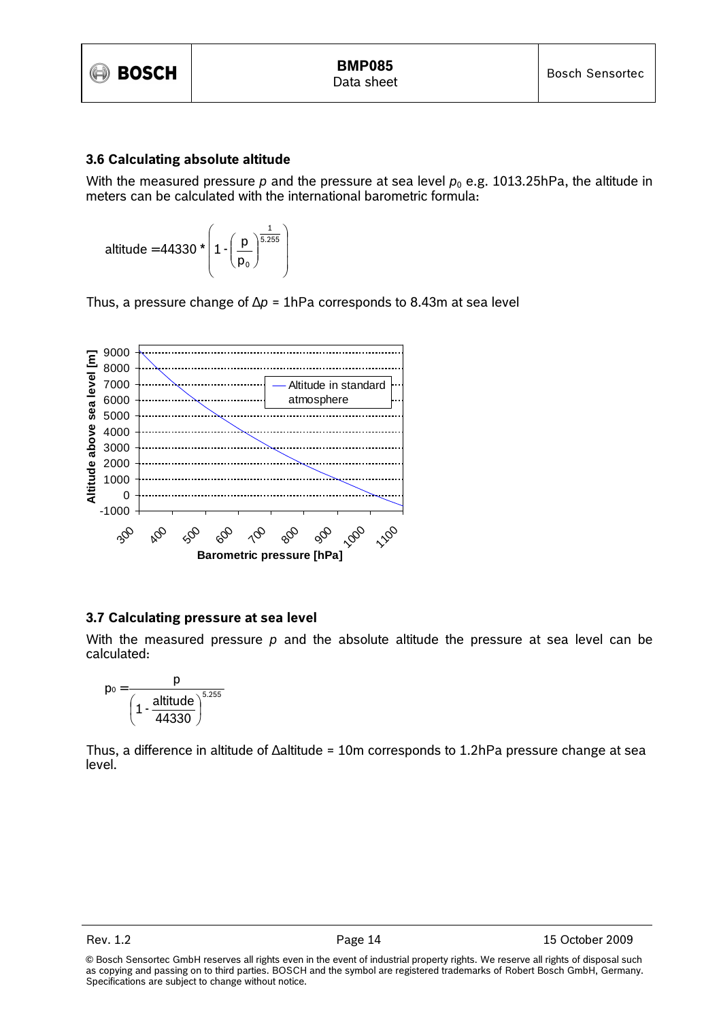

## 3.6 Calculating absolute altitude

With the measured pressure p and the pressure at sea level  $p_0$  e.g. 1013.25hPa, the altitude in meters can be calculated with the international barometric formula:

$$
\text{altitude} = 44330 \star \left( 1 \cdot \left( \frac{p}{p_0} \right)^{\frac{1}{5.255}} \right)
$$

Thus, a pressure change of  $\Delta p = 1$ hPa corresponds to 8.43m at sea level



## 3.7 Calculating pressure at sea level

With the measured pressure  $p$  and the absolute altitude the pressure at sea level can be calculated:

$$
p_0=\frac{p}{\left(1-\frac{altitude}{44330}\right)^{5.255}}
$$

Thus, a difference in altitude of ∆altitude = 10m corresponds to 1.2hPa pressure change at sea level.

<sup>©</sup> Bosch Sensortec GmbH reserves all rights even in the event of industrial property rights. We reserve all rights of disposal such as copying and passing on to third parties. BOSCH and the symbol are registered trademarks of Robert Bosch GmbH, Germany. Specifications are subject to change without notice.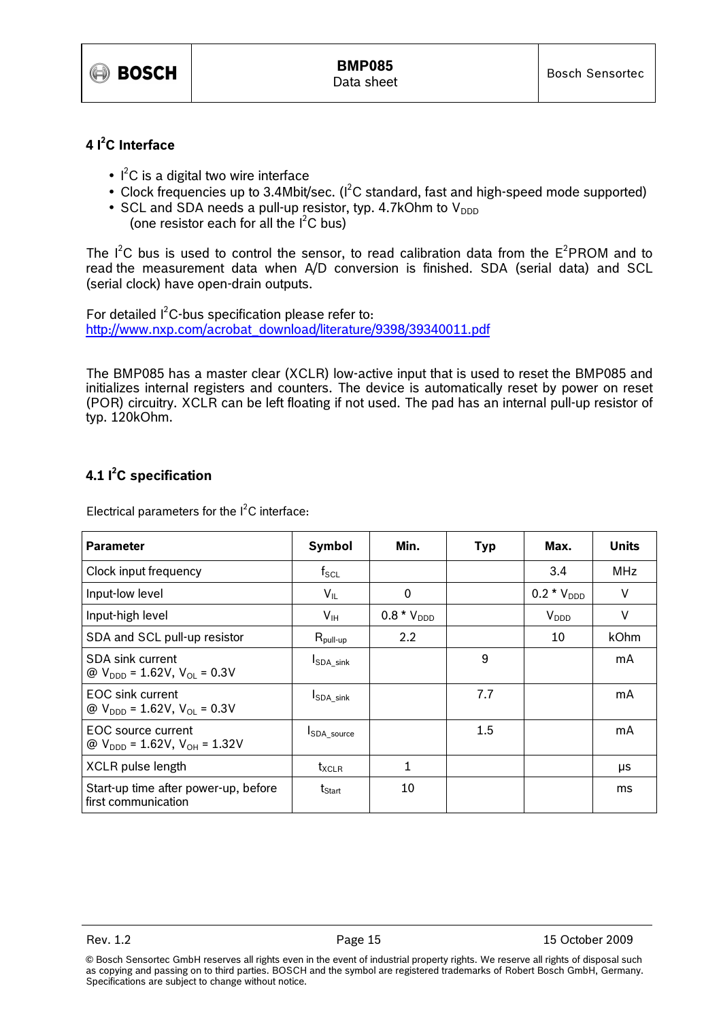

## 4 $1<sup>2</sup>C$  Interface

- $\bullet$   $\mathsf{I}^2\mathsf{C}$  is a digital two wire interface
- Clock frequencies up to 3.4Mbit/sec.  $(I^2C \text{ standard},$  fast and high-speed mode supported)
- SCL and SDA needs a pull-up resistor, typ. 4.7kOhm to  $V_{DDD}$ (one resistor each for all the  $I<sup>2</sup>C$  bus)

The  $I^2C$  bus is used to control the sensor, to read calibration data from the  $E^2PROM$  and to read the measurement data when A/D conversion is finished. SDA (serial data) and SCL (serial clock) have open-drain outputs.

For detailed  $I^2C$ -bus specification please refer to: http://www.nxp.com/acrobat\_download/literature/9398/39340011.pdf

The BMP085 has a master clear (XCLR) low-active input that is used to reset the BMP085 and initializes internal registers and counters. The device is automatically reset by power on reset (POR) circuitry. XCLR can be left floating if not used. The pad has an internal pull-up resistor of typ. 120kOhm.

## 4.1  $I^2C$  specification

Electrical parameters for the  $I^2C$  interface:

| <b>Parameter</b>                                                     | Symbol                       | Min.             | Typ     | Max.            | <b>Units</b> |
|----------------------------------------------------------------------|------------------------------|------------------|---------|-----------------|--------------|
| Clock input frequency                                                | $f_{\rm SCL}$                |                  |         | 3.4             | <b>MHz</b>   |
| Input-low level                                                      | $V_{IL}$                     | 0                |         | $0.2 * V_{DDD}$ | $\vee$       |
| Input-high level                                                     | $V_{\text{IH}}$              | $0.8 * V_{DDD}$  |         | $V_{DDD}$       | $\vee$       |
| SDA and SCL pull-up resistor                                         | $R_{\mathsf{pull-up}}$       | $2.2\phantom{0}$ |         | 10              | kOhm         |
| SDA sink current<br>@ $V_{\text{DDD}} = 1.62V, V_{\text{OL}} = 0.3V$ | <b>I</b> SDA sink            |                  | 9       |                 | mA           |
| EOC sink current<br>@ $V_{\text{DDD}} = 1.62V, V_{\text{OL}} = 0.3V$ | <b>I</b> SDA sink            |                  | 7.7     |                 | mA           |
| EOC source current<br>@ $V_{DDD} = 1.62V$ , $V_{OH} = 1.32V$         | <b>ISDA</b> source           |                  | $1.5\,$ |                 | mA           |
| XCLR pulse length                                                    | $\mathsf{t}_{\mathsf{XCLR}}$ | 1                |         |                 | μs           |
| Start-up time after power-up, before<br>first communication          | $t_{\text{Start}}$           | 10               |         |                 | ms           |

Rev. 1.2 **Page 15** Page 15 15 October 2009

<sup>©</sup> Bosch Sensortec GmbH reserves all rights even in the event of industrial property rights. We reserve all rights of disposal such as copying and passing on to third parties. BOSCH and the symbol are registered trademarks of Robert Bosch GmbH, Germany. Specifications are subject to change without notice.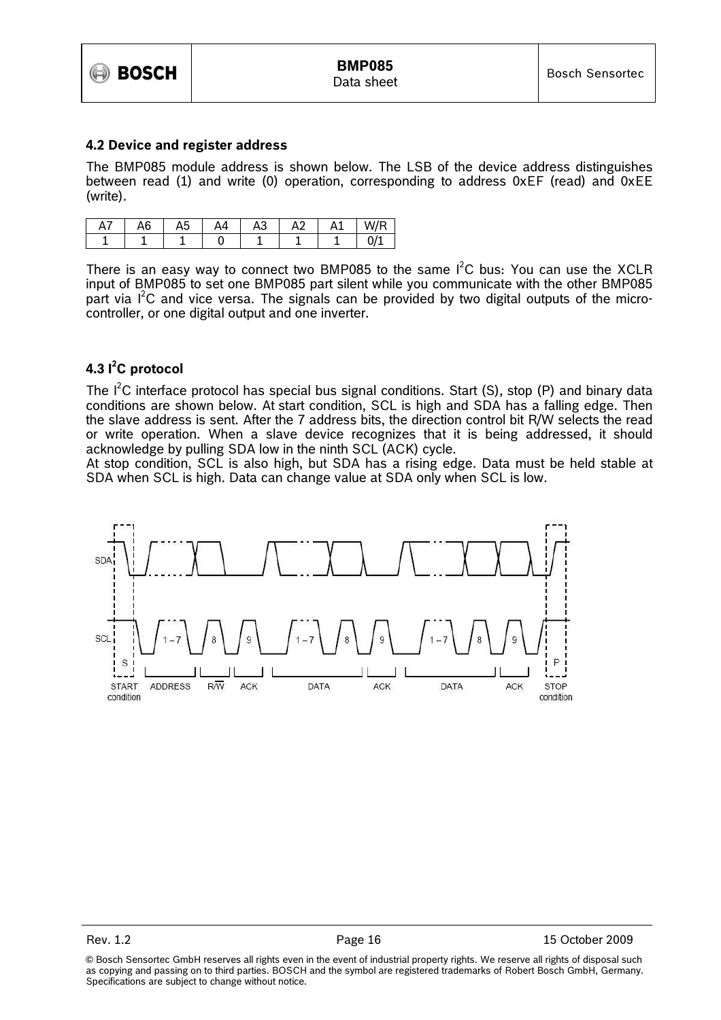

#### 4.2 Device and register address

The BMP085 module address is shown below. The LSB of the device address distinguishes between read (1) and write (0) operation, corresponding to address 0xEF (read) and 0xEE (write).

| $H_{I}$ | . r<br>Ab | ∼ | Δ4 | ╭<br>mυ | $\sim$ | Ąì | W/R          |
|---------|-----------|---|----|---------|--------|----|--------------|
|         |           |   |    |         |        |    | $\sim$ $\mu$ |

There is an easy way to connect two BMP085 to the same  $I^2C$  bus: You can use the XCLR input of BMP085 to set one BMP085 part silent while you communicate with the other BMP085 part via  $I^2C$  and vice versa. The signals can be provided by two digital outputs of the microcontroller, or one digital output and one inverter.

## 4.3 l<sup>2</sup>C protocol

The  $I^2C$  interface protocol has special bus signal conditions. Start (S), stop (P) and binary data conditions are shown below. At start condition, SCL is high and SDA has a falling edge. Then the slave address is sent. After the 7 address bits, the direction control bit R/W selects the read or write operation. When a slave device recognizes that it is being addressed, it should acknowledge by pulling SDA low in the ninth SCL (ACK) cycle.

At stop condition, SCL is also high, but SDA has a rising edge. Data must be held stable at SDA when SCL is high. Data can change value at SDA only when SCL is low.



Rev. 1.2 **Page 16** Page 16 15 October 2009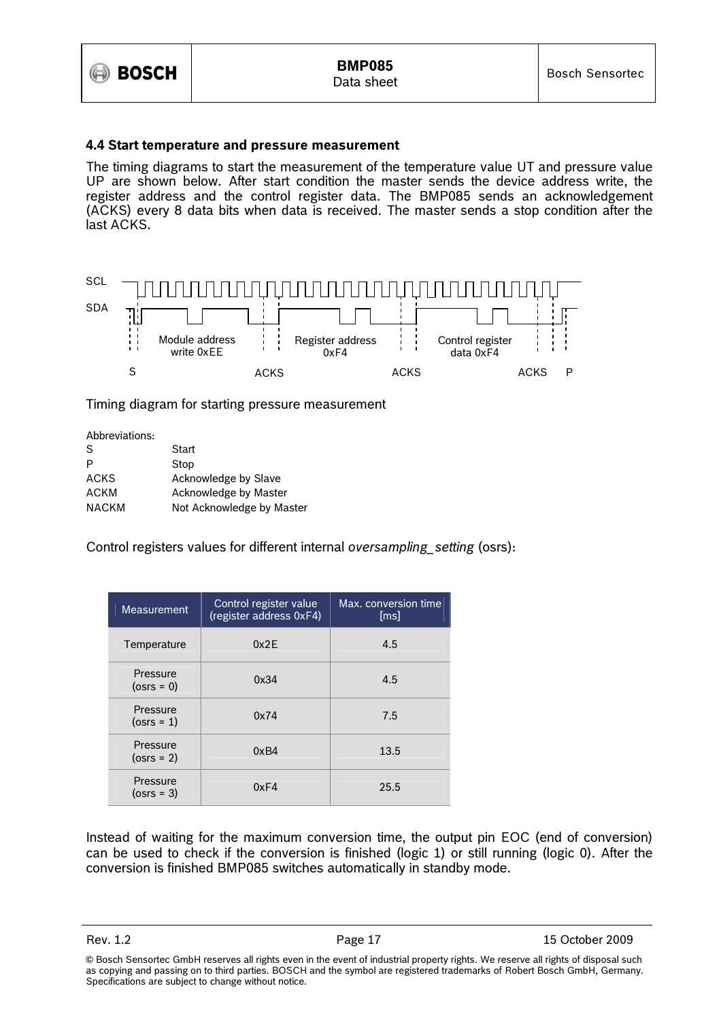

## 4.4 Start temperature and pressure measurement

The timing diagrams to start the measurement of the temperature value UT and pressure value UP are shown below. After start condition the master sends the device address write, the register address and the control register data. The BMP085 sends an acknowledgement (ACKS) every 8 data bits when data is received. The master sends a stop condition after the last ACKS.



Timing diagram for starting pressure measurement

| Abbreviations: |                           |
|----------------|---------------------------|
| S              | Start                     |
| Р              | Stop                      |
| ACKS           | Acknowledge by Slave      |
| <b>ACKM</b>    | Acknowledge by Master     |
| <b>NACKM</b>   | Not Acknowledge by Master |

Control registers values for different internal oversampling\_setting (osrs):

| <b>Measurement</b>        | Control register value<br>(register address 0xF4) | Max. conversion time<br>[ms] |
|---------------------------|---------------------------------------------------|------------------------------|
| Temperature               | 0x2F                                              | 4.5                          |
| Pressure<br>$(0$ srs = 0) | 0x34                                              | 4.5                          |
| Pressure<br>$(0srs = 1)$  | 0x74                                              | 7.5                          |
| Pressure<br>$(0srs = 2)$  | 0xB4                                              | 13.5                         |
| Pressure<br>$(0srs = 3)$  | 0xF4                                              | 25.5                         |

Instead of waiting for the maximum conversion time, the output pin EOC (end of conversion) can be used to check if the conversion is finished (logic 1) or still running (logic 0). After the conversion is finished BMP085 switches automatically in standby mode.

<sup>©</sup> Bosch Sensortec GmbH reserves all rights even in the event of industrial property rights. We reserve all rights of disposal such as copying and passing on to third parties. BOSCH and the symbol are registered trademarks of Robert Bosch GmbH, Germany. Specifications are subject to change without notice.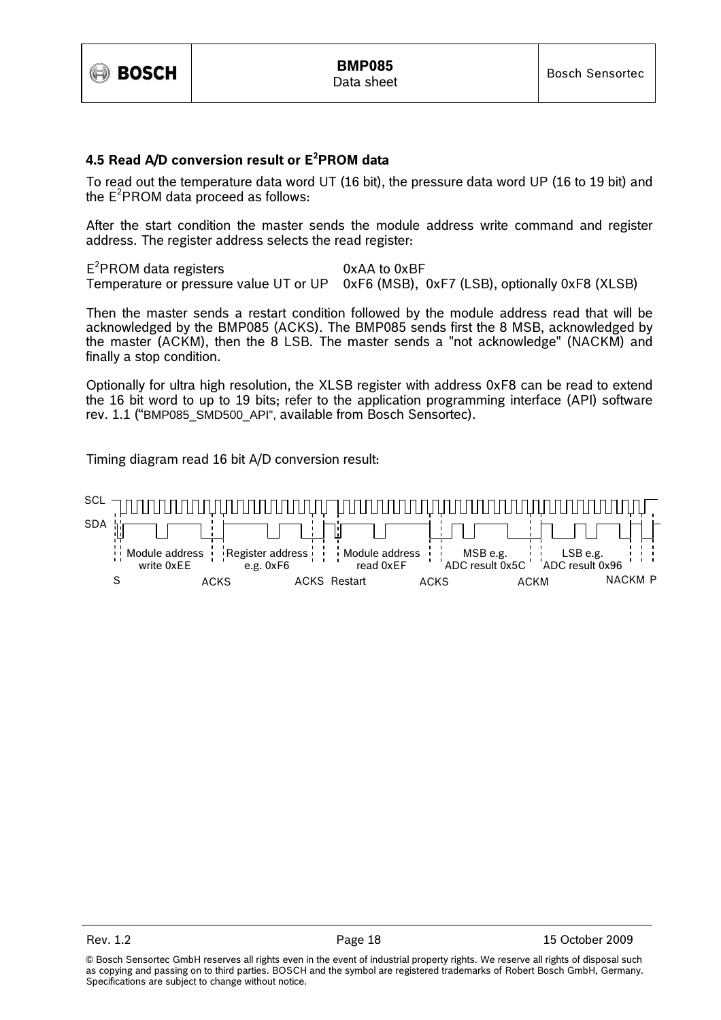

## 4.5 Read A/D conversion result or E<sup>2</sup>PROM data

To read out the temperature data word UT (16 bit), the pressure data word UP (16 to 19 bit) and the  $E^2$ PROM data proceed as follows:

After the start condition the master sends the module address write command and register address. The register address selects the read register:

E<sup>2</sup>PROM data registers 0xAA to 0xBF Temperature or pressure value UT or UP 0xF6 (MSB), 0xF7 (LSB), optionally 0xF8 (XLSB)

Then the master sends a restart condition followed by the module address read that will be acknowledged by the BMP085 (ACKS). The BMP085 sends first the 8 MSB, acknowledged by the master (ACKM), then the 8 LSB. The master sends a "not acknowledge" (NACKM) and finally a stop condition.

Optionally for ultra high resolution, the XLSB register with address 0xF8 can be read to extend the 16 bit word to up to 19 bits; refer to the application programming interface (API) software rev. 1.1 ("BMP085\_SMD500\_API", available from Bosch Sensortec).

Timing diagram read 16 bit A/D conversion result:



<sup>©</sup> Bosch Sensortec GmbH reserves all rights even in the event of industrial property rights. We reserve all rights of disposal such as copying and passing on to third parties. BOSCH and the symbol are registered trademarks of Robert Bosch GmbH, Germany. Specifications are subject to change without notice.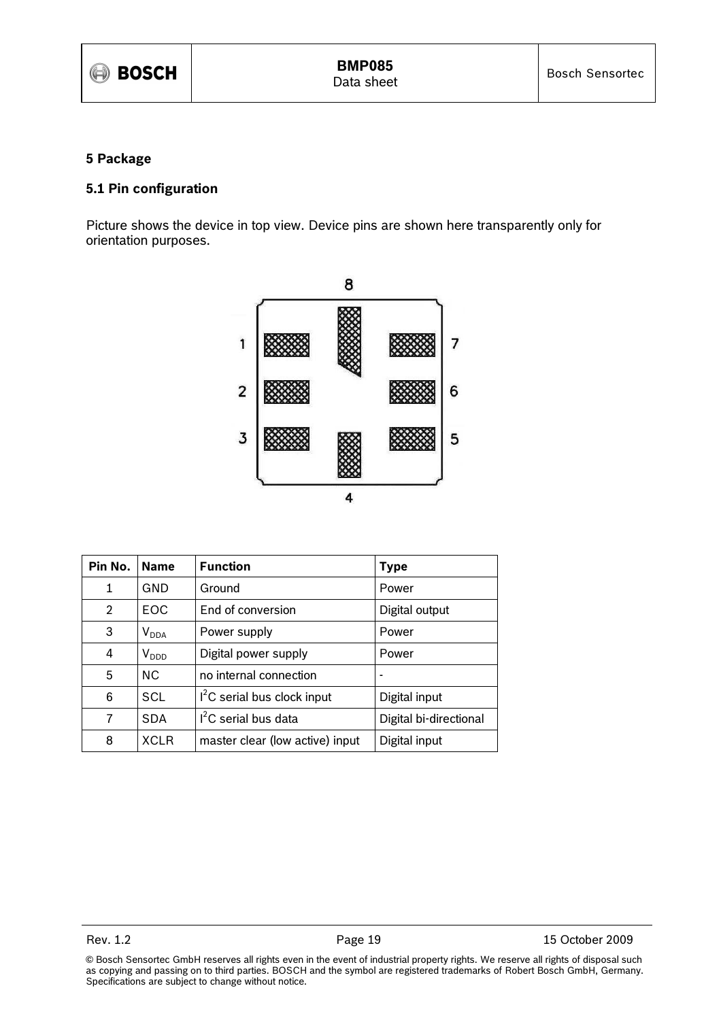## 5 Package

## 5.1 Pin configuration

Picture shows the device in top view. Device pins are shown here transparently only for orientation purposes.



| Pin No.        | <b>Name</b> | <b>Function</b>                 | <b>Type</b>            |
|----------------|-------------|---------------------------------|------------------------|
| 1              | GND         | Ground                          | Power                  |
| $\overline{2}$ | EOC         | End of conversion               | Digital output         |
| 3              | $V_{DDA}$   | Power supply                    | Power                  |
| 4              | $V_{DDD}$   | Digital power supply            | Power                  |
| 5              | <b>NC</b>   | no internal connection          |                        |
| 6              | SCL         | $I2C$ serial bus clock input    | Digital input          |
| 7              | <b>SDA</b>  | $I2C$ serial bus data           | Digital bi-directional |
| 8              | <b>XCLR</b> | master clear (low active) input | Digital input          |

<sup>©</sup> Bosch Sensortec GmbH reserves all rights even in the event of industrial property rights. We reserve all rights of disposal such as copying and passing on to third parties. BOSCH and the symbol are registered trademarks of Robert Bosch GmbH, Germany. Specifications are subject to change without notice.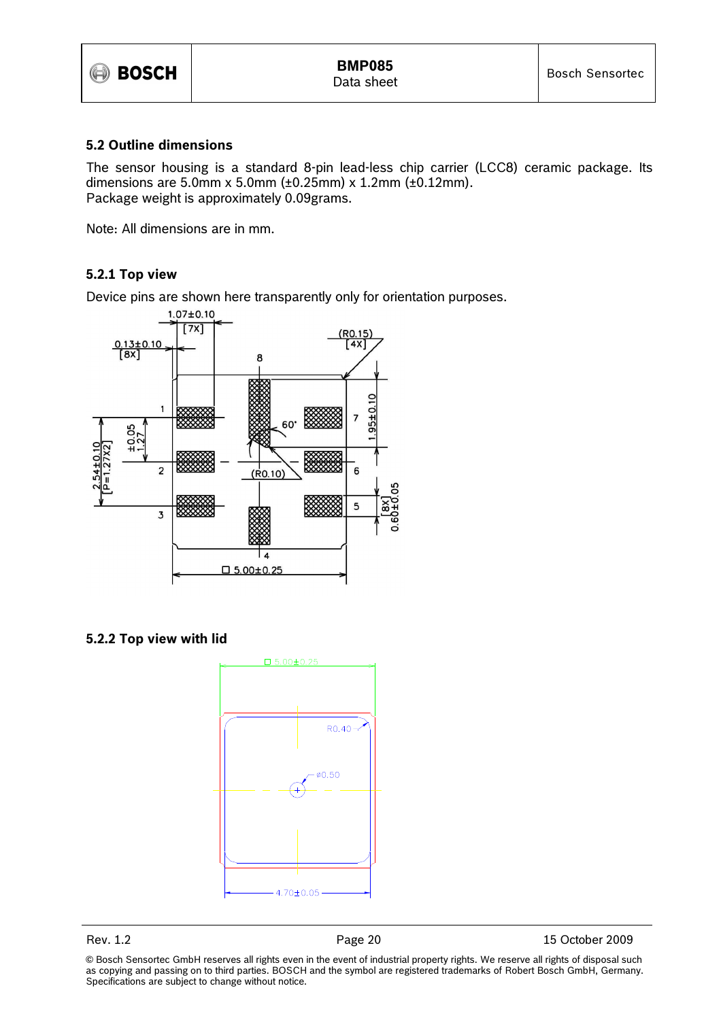

## 5.2 Outline dimensions

The sensor housing is a standard 8-pin lead-less chip carrier (LCC8) ceramic package. Its dimensions are 5.0mm x 5.0mm (±0.25mm) x 1.2mm (±0.12mm). Package weight is approximately 0.09grams.

Note: All dimensions are in mm.

## 5.2.1 Top view

Device pins are shown here transparently only for orientation purposes.



5.2.2 Top view with lid



Rev. 1.2 **Page 20** Page 20 15 October 2009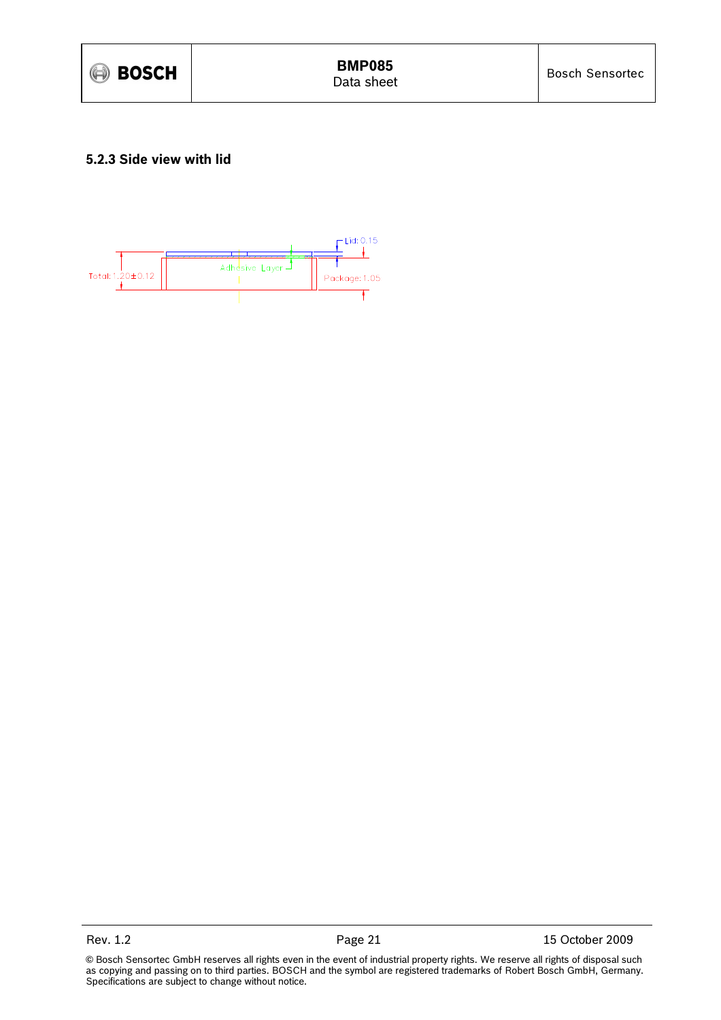

## 5.2.3 Side view with lid

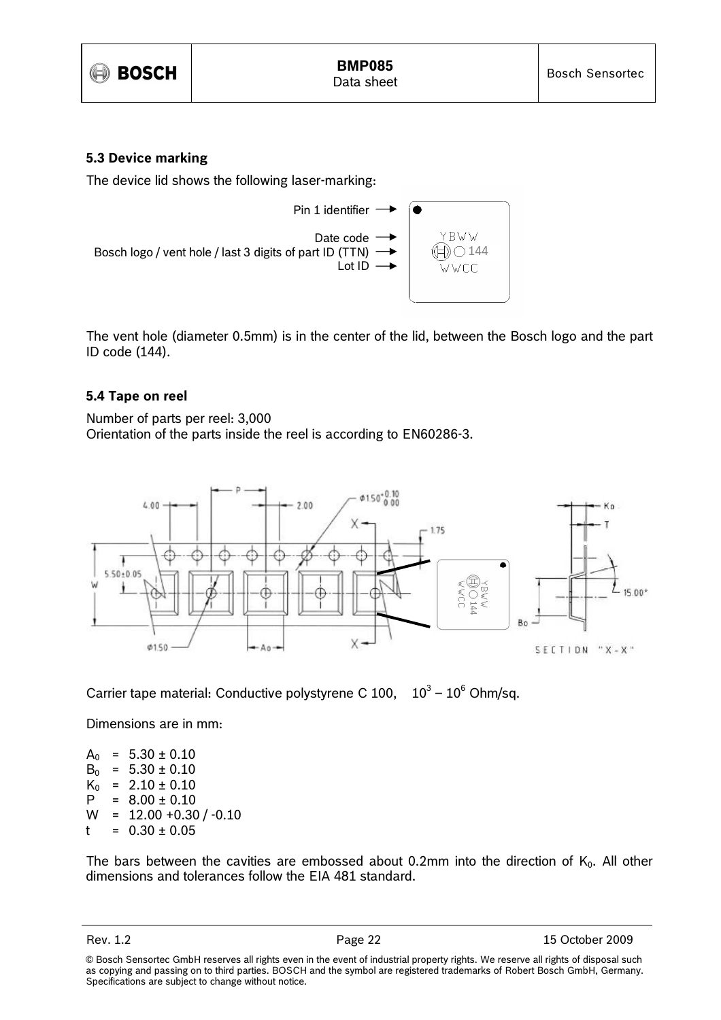

## 5.3 Device marking

The device lid shows the following laser-marking:



The vent hole (diameter 0.5mm) is in the center of the lid, between the Bosch logo and the part ID code (144).

## 5.4 Tape on reel

Number of parts per reel: 3,000 Orientation of the parts inside the reel is according to EN60286-3.



Carrier tape material: Conductive polystyrene C 100,  $10^3 - 10^6$  Ohm/sq.

Dimensions are in mm:

 $A_0$  = 5.30 ± 0.10  $B_0$  = 5.30 ± 0.10<br> $K_0$  = 2.10 ± 0.10  $= 2.10 \pm 0.10$  $P = 8.00 \pm 0.10$  $W = 12.00 + 0.30 / -0.10$  $t = 0.30 \pm 0.05$ 

The bars between the cavities are embossed about 0.2mm into the direction of  $K_0$ . All other dimensions and tolerances follow the EIA 481 standard.

Rev. 1.2 **Page 22** 15 October 2009

<sup>©</sup> Bosch Sensortec GmbH reserves all rights even in the event of industrial property rights. We reserve all rights of disposal such as copying and passing on to third parties. BOSCH and the symbol are registered trademarks of Robert Bosch GmbH, Germany. Specifications are subject to change without notice.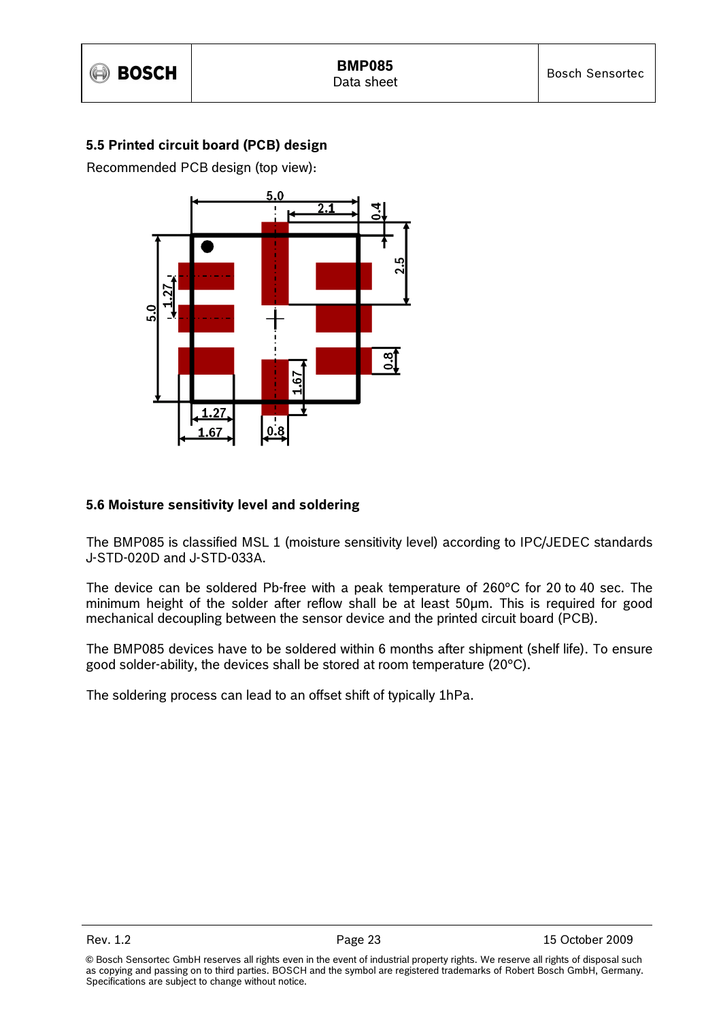## 5.5 Printed circuit board (PCB) design

Recommended PCB design (top view):



## 5.6 Moisture sensitivity level and soldering

The BMP085 is classified MSL 1 (moisture sensitivity level) according to IPC/JEDEC standards J-STD-020D and J-STD-033A.

The device can be soldered Pb-free with a peak temperature of 260°C for 20 to 40 sec. The minimum height of the solder after reflow shall be at least 50µm. This is required for good mechanical decoupling between the sensor device and the printed circuit board (PCB).

The BMP085 devices have to be soldered within 6 months after shipment (shelf life). To ensure good solder-ability, the devices shall be stored at room temperature (20°C).

The soldering process can lead to an offset shift of typically 1hPa.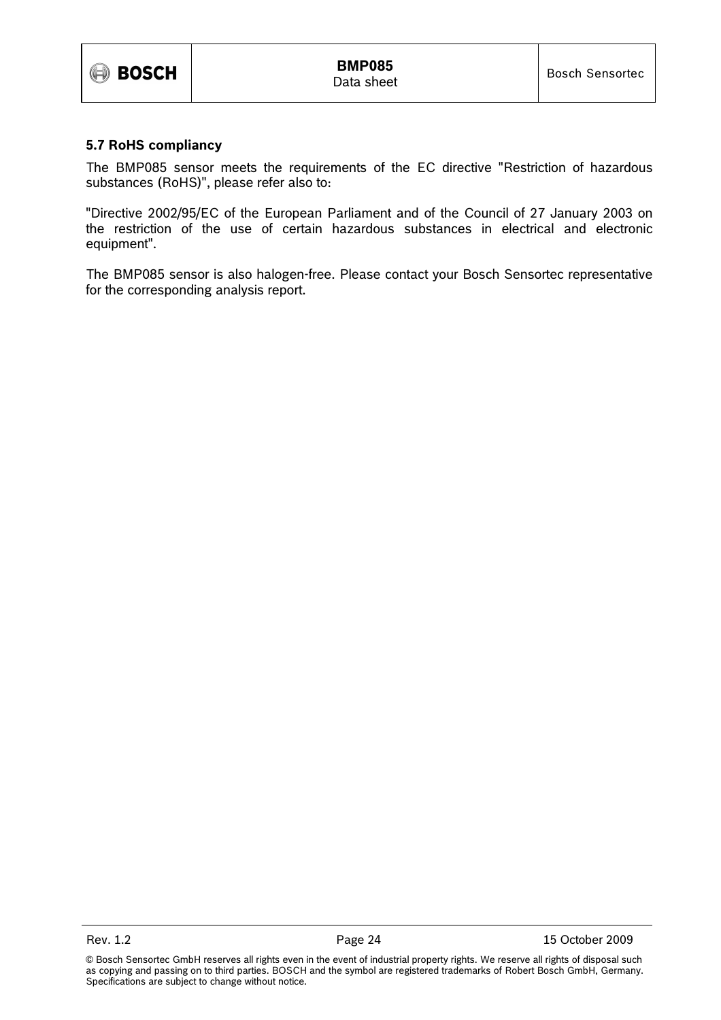

## 5.7 RoHS compliancy

The BMP085 sensor meets the requirements of the EC directive "Restriction of hazardous substances (RoHS)", please refer also to:

"Directive 2002/95/EC of the European Parliament and of the Council of 27 January 2003 on the restriction of the use of certain hazardous substances in electrical and electronic equipment".

The BMP085 sensor is also halogen-free. Please contact your Bosch Sensortec representative for the corresponding analysis report.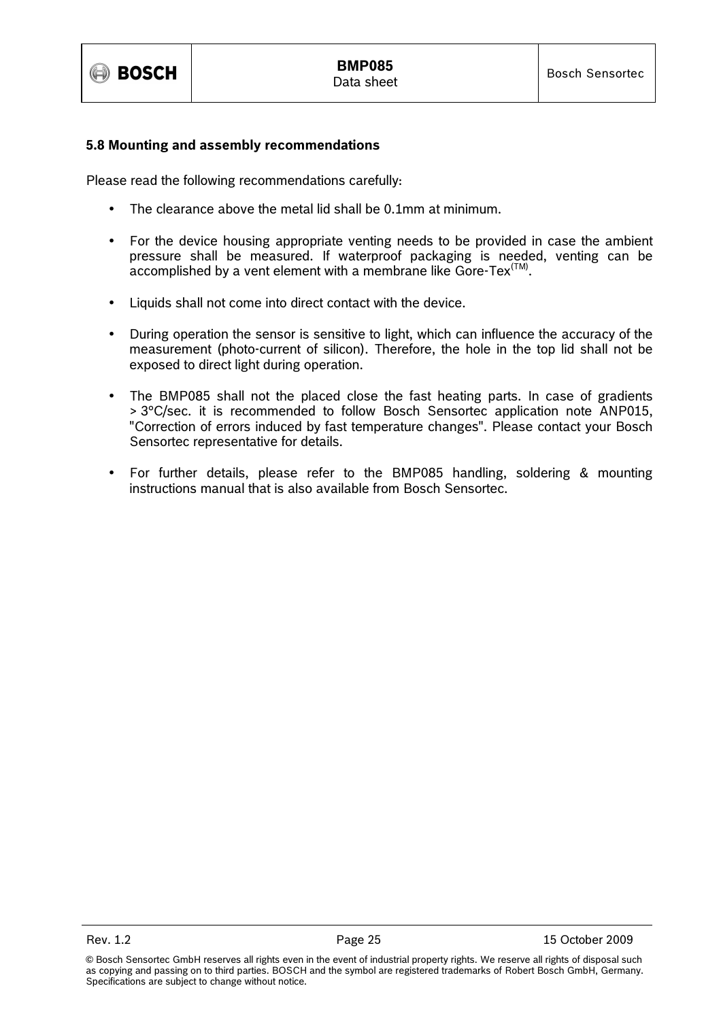

## 5.8 Mounting and assembly recommendations

Please read the following recommendations carefully:

- The clearance above the metal lid shall be 0.1mm at minimum.
- For the device housing appropriate venting needs to be provided in case the ambient pressure shall be measured. If waterproof packaging is needed, venting can be  $\alpha$  accomplished by a vent element with a membrane like Gore-Tex<sup>(TM)</sup>.
- Liquids shall not come into direct contact with the device.
- During operation the sensor is sensitive to light, which can influence the accuracy of the measurement (photo-current of silicon). Therefore, the hole in the top lid shall not be exposed to direct light during operation.
- The BMP085 shall not the placed close the fast heating parts. In case of gradients > 3°C/sec. it is recommended to follow Bosch Sensortec application note ANP015, "Correction of errors induced by fast temperature changes". Please contact your Bosch Sensortec representative for details.
- For further details, please refer to the BMP085 handling, soldering & mounting instructions manual that is also available from Bosch Sensortec.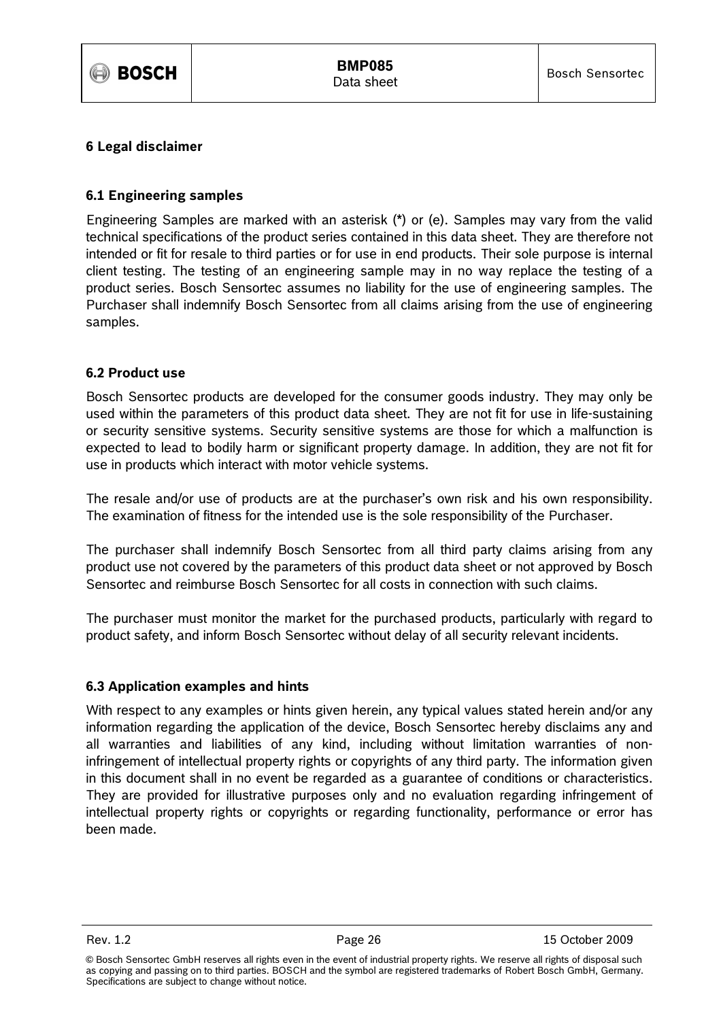

## 6 Legal disclaimer

## 6.1 Engineering samples

Engineering Samples are marked with an asterisk (\*) or (e). Samples may vary from the valid technical specifications of the product series contained in this data sheet. They are therefore not intended or fit for resale to third parties or for use in end products. Their sole purpose is internal client testing. The testing of an engineering sample may in no way replace the testing of a product series. Bosch Sensortec assumes no liability for the use of engineering samples. The Purchaser shall indemnify Bosch Sensortec from all claims arising from the use of engineering samples.

## 6.2 Product use

Bosch Sensortec products are developed for the consumer goods industry. They may only be used within the parameters of this product data sheet. They are not fit for use in life-sustaining or security sensitive systems. Security sensitive systems are those for which a malfunction is expected to lead to bodily harm or significant property damage. In addition, they are not fit for use in products which interact with motor vehicle systems.

The resale and/or use of products are at the purchaser's own risk and his own responsibility. The examination of fitness for the intended use is the sole responsibility of the Purchaser.

The purchaser shall indemnify Bosch Sensortec from all third party claims arising from any product use not covered by the parameters of this product data sheet or not approved by Bosch Sensortec and reimburse Bosch Sensortec for all costs in connection with such claims.

The purchaser must monitor the market for the purchased products, particularly with regard to product safety, and inform Bosch Sensortec without delay of all security relevant incidents.

## 6.3 Application examples and hints

With respect to any examples or hints given herein, any typical values stated herein and/or any information regarding the application of the device, Bosch Sensortec hereby disclaims any and all warranties and liabilities of any kind, including without limitation warranties of noninfringement of intellectual property rights or copyrights of any third party. The information given in this document shall in no event be regarded as a guarantee of conditions or characteristics. They are provided for illustrative purposes only and no evaluation regarding infringement of intellectual property rights or copyrights or regarding functionality, performance or error has been made.

<sup>©</sup> Bosch Sensortec GmbH reserves all rights even in the event of industrial property rights. We reserve all rights of disposal such as copying and passing on to third parties. BOSCH and the symbol are registered trademarks of Robert Bosch GmbH, Germany. Specifications are subject to change without notice.